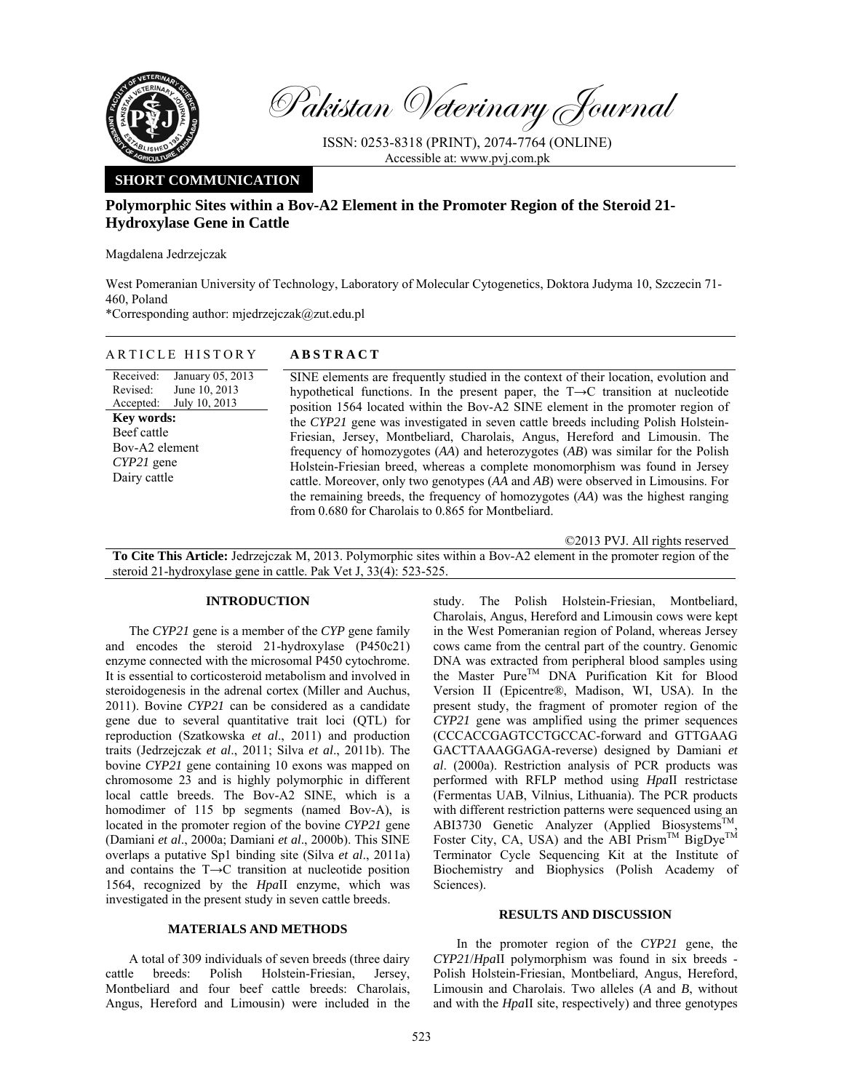

Pakistan Veterinary Journal

ISSN: 0253-8318 (PRINT), 2074-7764 (ONLINE) Accessible at: www.pvj.com.pk

## **SHORT COMMUNICATION**

# **Polymorphic Sites within a Bov-A2 Element in the Promoter Region of the Steroid 21- Hydroxylase Gene in Cattle**

Magdalena Jedrzejczak

West Pomeranian University of Technology, Laboratory of Molecular Cytogenetics, Doktora Judyma 10, Szczecin 71- 460, Poland

\*Corresponding author: mjedrzejczak@zut.edu.pl

ARTICLE HISTORY **ABSTRACT** 

| AKIIULE HISIUKY            | ABSIKACI                                                               |
|----------------------------|------------------------------------------------------------------------|
| Received: January 05, 2013 | SINE elements are frequently studied in the context of their 1         |
| Revised: June $10, 2013$   | hypothetical functions. In the present paper, the $T\rightarrow C$ tra |
| Accepted: July 10, 2013    | position 1564 located within the Bov-A2 SINE element in t              |
| Key words:                 | the CYP21 gene was investigated in seven cattle breeds inclu           |
| Beef cattle                | Friesian Jersey Montbeliard Charolais Angus Hereford                   |

Bov-A2 element *CYP21* gene Dairy cattle

ocation, evolution and ansition at nucleotide he promoter region of uding Polish Holstein-Friesian, Jersey, Montbeliard, Charolais, Angus, Hereford and Limousin. The frequency of homozygotes (*AA*) and heterozygotes (*AB*) was similar for the Polish Holstein-Friesian breed, whereas a complete monomorphism was found in Jersey cattle. Moreover, only two genotypes (*AA* and *AB*) were observed in Limousins. For the remaining breeds, the frequency of homozygotes (*AA*) was the highest ranging from 0.680 for Charolais to 0.865 for Montbeliard.

©2013 PVJ. All rights reserved

**To Cite This Article:** Jedrzejczak M, 2013. Polymorphic sites within a Bov-A2 element in the promoter region of the steroid 21-hydroxylase gene in cattle. Pak Vet J, 33(4): 523-525.

#### **INTRODUCTION**

The *CYP21* gene is a member of the *CYP* gene family and encodes the steroid 21-hydroxylase (P450c21) enzyme connected with the microsomal P450 cytochrome. It is essential to corticosteroid metabolism and involved in steroidogenesis in the adrenal cortex (Miller and Auchus, 2011). Bovine *CYP21* can be considered as a candidate gene due to several quantitative trait loci (QTL) for reproduction (Szatkowska *et al*., 2011) and production traits (Jedrzejczak *et al*., 2011; Silva *et al*., 2011b). The bovine *CYP21* gene containing 10 exons was mapped on chromosome 23 and is highly polymorphic in different local cattle breeds. The Bov-A2 SINE, which is a homodimer of 115 bp segments (named Bov-A), is located in the promoter region of the bovine *CYP21* gene (Damiani *et al*., 2000a; Damiani *et al*., 2000b). This SINE overlaps a putative Sp1 binding site (Silva *et al*., 2011a) and contains the T→C transition at nucleotide position 1564, recognized by the *Hpa*II enzyme, which was investigated in the present study in seven cattle breeds.

### **MATERIALS AND METHODS**

A total of 309 individuals of seven breeds (three dairy cattle breeds: Polish Holstein-Friesian, Jersey, Montbeliard and four beef cattle breeds: Charolais, Angus, Hereford and Limousin) were included in the

study. The Polish Holstein-Friesian, Montbeliard, Charolais, Angus, Hereford and Limousin cows were kept in the West Pomeranian region of Poland, whereas Jersey cows came from the central part of the country. Genomic DNA was extracted from peripheral blood samples using the Master Pure<sup>TM</sup> DNA Purification Kit for Blood Version II (Epicentre®, Madison, WI, USA). In the present study, the fragment of promoter region of the *CYP21* gene was amplified using the primer sequences (CCCACCGAGTCCTGCCAC-forward and GTTGAAG GACTTAAAGGAGA-reverse) designed by Damiani *et al*. (2000a). Restriction analysis of PCR products was performed with RFLP method using *Hpa*II restrictase (Fermentas UAB, Vilnius, Lithuania). The PCR products with different restriction patterns were sequenced using an ABI3730 Genetic Analyzer (Applied Biosystems<sup>TM</sup>, Foster City, CA, USA) and the ABI Prism<sup>TM</sup> BigDye<sup>TM</sup> Terminator Cycle Sequencing Kit at the Institute of Biochemistry and Biophysics (Polish Academy of Sciences).

### **RESULTS AND DISCUSSION**

In the promoter region of the *CYP21* gene, the *CYP21*/*Hpa*II polymorphism was found in six breeds - Polish Holstein-Friesian, Montbeliard, Angus, Hereford, Limousin and Charolais. Two alleles (*A* and *B*, without and with the *Hpa*II site, respectively) and three genotypes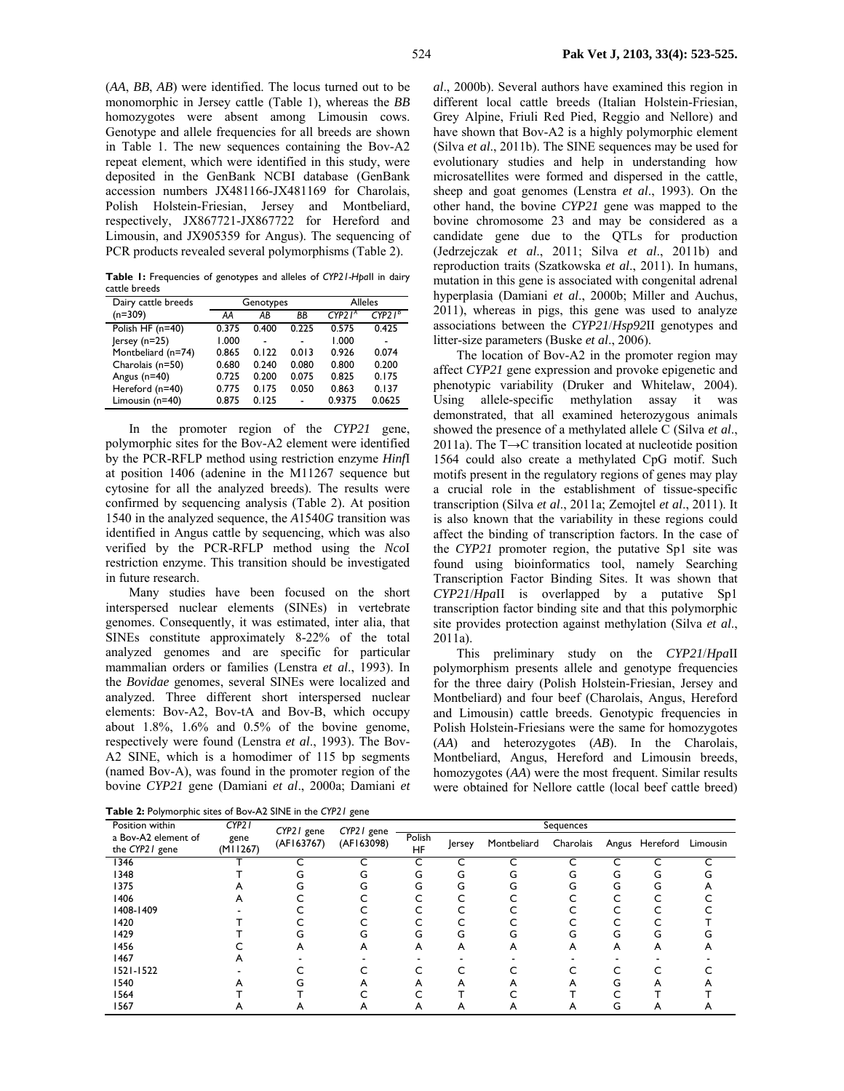(*AA*, *BB*, *AB*) were identified. The locus turned out to be monomorphic in Jersey cattle (Table 1), whereas the *BB* homozygotes were absent among Limousin cows. Genotype and allele frequencies for all breeds are shown in Table 1. The new sequences containing the Bov-A2 repeat element, which were identified in this study, were deposited in the GenBank NCBI database (GenBank accession numbers JX481166-JX481169 for Charolais, Polish Holstein-Friesian, Jersey and Montbeliard, respectively, JX867721-JX867722 for Hereford and Limousin, and JX905359 for Angus). The sequencing of PCR products revealed several polymorphisms (Table 2).

**Table 1:** Frequencies of genotypes and alleles of *CYP21-Hpa*II in dairy cattle breeds

| Dairy cattle breeds |       | Genotypes | <b>Alleles</b> |                    |           |
|---------------------|-------|-----------|----------------|--------------------|-----------|
| $(n=309)$           | AA    | AB        | ΒB             | CYP21 <sup>A</sup> | $CYP2I^B$ |
| Polish HF $(n=40)$  | 0.375 | 0.400     | 0.225          | 0.575              | 0.425     |
| $ $ ersey (n=25)    | 1.000 |           |                | 1.000              |           |
| Montbeliard (n=74)  | 0.865 | 0.122     | 0.013          | 0.926              | 0.074     |
| Charolais (n=50)    | 0.680 | 0.240     | 0.080          | 0.800              | 0.200     |
| Angus (n=40)        | 0.725 | 0.200     | 0.075          | 0.825              | 0.175     |
| Hereford (n=40)     | 0.775 | 0.175     | 0.050          | 0.863              | 0.137     |
| Limousin (n=40)     | 0.875 | 0.125     | L,             | 0.9375             | 0.0625    |

In the promoter region of the *CYP21* gene, polymorphic sites for the Bov-A2 element were identified by the PCR-RFLP method using restriction enzyme *Hinf*I at position 1406 (adenine in the M11267 sequence but cytosine for all the analyzed breeds). The results were confirmed by sequencing analysis (Table 2). At position 1540 in the analyzed sequence, the *A*1540*G* transition was identified in Angus cattle by sequencing, which was also verified by the PCR-RFLP method using the *Nco*I restriction enzyme. This transition should be investigated in future research.

Many studies have been focused on the short interspersed nuclear elements (SINEs) in vertebrate genomes. Consequently, it was estimated, inter alia, that SINEs constitute approximately 8-22% of the total analyzed genomes and are specific for particular mammalian orders or families (Lenstra *et al*., 1993). In the *Bovidae* genomes, several SINEs were localized and analyzed. Three different short interspersed nuclear elements: Bov-A2, Bov-tA and Bov-B, which occupy about 1.8%, 1.6% and 0.5% of the bovine genome, respectively were found (Lenstra *et al*., 1993). The Bov-A2 SINE, which is a homodimer of 115 bp segments (named Bov-A), was found in the promoter region of the bovine *CYP21* gene (Damiani *et al*., 2000a; Damiani *et* 

**Table 2:** Polymorphic sites of Bov-A2 SINE in the *CYP21* gene

*al*., 2000b). Several authors have examined this region in different local cattle breeds (Italian Holstein-Friesian, Grey Alpine, Friuli Red Pied, Reggio and Nellore) and have shown that Bov-A2 is a highly polymorphic element (Silva *et al*., 2011b). The SINE sequences may be used for evolutionary studies and help in understanding how microsatellites were formed and dispersed in the cattle, sheep and goat genomes (Lenstra *et al*., 1993). On the other hand, the bovine *CYP21* gene was mapped to the bovine chromosome 23 and may be considered as a candidate gene due to the QTLs for production (Jedrzejczak *et al*., 2011; Silva *et al*., 2011b) and reproduction traits (Szatkowska *et al*., 2011). In humans, mutation in this gene is associated with congenital adrenal hyperplasia (Damiani *et al*., 2000b; Miller and Auchus, 2011), whereas in pigs, this gene was used to analyze associations between the *CYP21*/*Hsp92*II genotypes and litter-size parameters (Buske *et al*., 2006).

The location of Bov-A2 in the promoter region may affect *CYP21* gene expression and provoke epigenetic and phenotypic variability (Druker and Whitelaw, 2004). Using allele-specific methylation assay it was demonstrated, that all examined heterozygous animals showed the presence of a methylated allele C (Silva *et al*., 2011a). The T→C transition located at nucleotide position 1564 could also create a methylated CpG motif. Such motifs present in the regulatory regions of genes may play a crucial role in the establishment of tissue-specific transcription (Silva *et al*., 2011a; Zemojtel *et al*., 2011). It is also known that the variability in these regions could affect the binding of transcription factors. In the case of the *CYP21* promoter region, the putative Sp1 site was found using bioinformatics tool, namely Searching Transcription Factor Binding Sites. It was shown that *CYP21*/*Hpa*II is overlapped by a putative Sp1 transcription factor binding site and that this polymorphic site provides protection against methylation (Silva *et al*., 2011a).

This preliminary study on the *CYP21*/*Hpa*II polymorphism presents allele and genotype frequencies for the three dairy (Polish Holstein-Friesian, Jersey and Montbeliard) and four beef (Charolais, Angus, Hereford and Limousin) cattle breeds. Genotypic frequencies in Polish Holstein-Friesians were the same for homozygotes (*AA*) and heterozygotes (*AB*). In the Charolais, Montbeliard, Angus, Hereford and Limousin breeds, homozygotes (*AA*) were the most frequent. Similar results were obtained for Nellore cattle (local beef cattle breed)

| Position within                       | CYP <sub>2</sub> 1 | CYP21 gene<br>(AF163767) | CYP21 gene<br>(AF163098) | Sequences           |        |             |           |   |                |          |
|---------------------------------------|--------------------|--------------------------|--------------------------|---------------------|--------|-------------|-----------|---|----------------|----------|
| a Bov-A2 element of<br>the CYP21 gene | gene<br>(M11267)   |                          |                          | Polish<br><b>HF</b> | lersey | Montbeliard | Charolais |   | Angus Hereford | Limousin |
| 1346                                  |                    |                          |                          |                     |        |             |           |   |                | ┌        |
| 1348                                  |                    |                          |                          | G                   | G      |             | G         | G | G              |          |
| 1375                                  |                    |                          |                          | G                   | G      | ι.          | G         | G | G              |          |
| 1406                                  |                    |                          |                          |                     |        |             |           |   |                |          |
| 1408-1409                             |                    |                          |                          |                     |        |             |           |   |                |          |
| 1420                                  |                    |                          |                          |                     |        |             |           |   |                |          |
| 1429                                  |                    |                          | G                        | (٦                  | ι.     | ι.          | G         | G | G              |          |
| 1456                                  |                    |                          | A                        | А                   | А      | A           | Α         | А | A              |          |
| 1467                                  |                    |                          |                          |                     |        |             |           |   |                |          |
| $1521 - 1522$                         |                    |                          |                          |                     |        |             |           |   |                |          |
| 1540                                  |                    |                          |                          |                     |        |             |           |   | A              |          |
| 1564                                  |                    |                          |                          |                     |        |             |           |   |                |          |
| 1567                                  | Α                  | A                        | A                        | A                   | А      | A           | A         |   | A              | Α        |